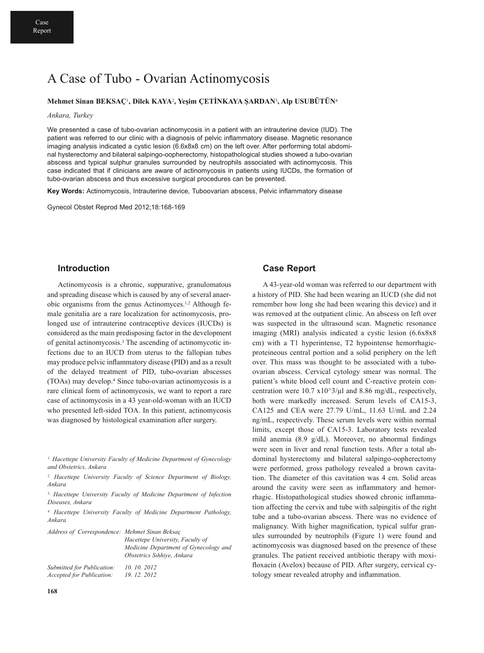# A Case of Tubo - Ovarian Actinomycosis

### **Mehmet Sinan BEKSAÇ**1**, Dilek KAYA**2**, Yeşim ÇETİNKAYA ŞARDAN**3**, Alp USUBÜTÜN**<sup>4</sup>

#### *Ankara, Turkey*

We presented a case of tubo-ovarian actinomycosis in a patient with an intrauterine device (IUD). The patient was referred to our clinic with a diagnosis of pelvic inflammatory disease. Magnetic resonance imaging analysis indicated a cystic lesion (6.6x8x8 cm) on the left over. After performing total abdominal hysterectomy and bilateral salpingo-oopherectomy, histopathological studies showed a tubo-ovarian abscess and typical sulphur granules surrounded by neutrophils associated with actinomycosis. This case indicated that if clinicians are aware of actinomycosis in patients using IUCDs, the formation of tubo-ovarian abscess and thus excessive surgical procedures can be prevented.

**Key Words:** Actinomycosis, Intrauterine device, Tuboovarian abscess, Pelvic inflammatory disease

Gynecol Obstet Reprod Med 2012;18:168-169

### **Introduction**

Actinomycosis is a chronic, suppurative, granulomatous and spreading disease which is caused by any of several anaerobic organisms from the genus Actinomyces. 1,2 Although female genitalia are a rare localization for actinomycosis, prolonged use of intrauterine contraceptive devices (IUCDs) is considered as the main predisposing factor in the development of genital actinomycosis. <sup>3</sup> The ascending of actinomycotic infections due to an IUCD from uterus to the fallopian tubes may produce pelvic inflammatory disease (PID) and as a result of the delayed treatment of PID, tubo-ovarian abscesses (TOAs) may develop. <sup>4</sup> Since tubo-ovarian actinomycosis is a rare clinical form of actinomycosis, we want to report a rare case of actinomycosis in a 43 year-old-woman with an IUCD who presented left-sided TOA. In this patient, actinomycosis was diagnosed by histological examination after surgery.

*2. Hacettepe University Faculty of Science Department of Biology, Ankara*

*3. Hacettepe University Faculty of Medicine Department of Infection Diseases, Ankara*

*4. Hacettepe University Faculty of Medicine Department Pathology, Ankara*

| Address of Correspondence: Mehmet Sinan Beksac |                                                                     |
|------------------------------------------------|---------------------------------------------------------------------|
|                                                | Hacettepe University, Faculty of                                    |
|                                                | Medicine Department of Gynecology and<br>Obstetrics Sihhive, Ankara |
| Submitted for Publication:                     | 10, 10, 2012                                                        |
| Accepted for Publication:                      | 19, 12, 2012                                                        |

## **Case Report**

A 43-year-old woman was referred to our department with a history of PID. She had been wearing an IUCD (she did not remember how long she had been wearing this device) and it was removed at the outpatient clinic. An abscess on left over was suspected in the ultrasound scan. Magnetic resonance imaging (MRI) analysis indicated a cystic lesion (6.6x8x8 cm) with a T1 hyperintense, T2 hypointense hemorrhagicproteineous central portion and a solid periphery on the left over. This mass was thought to be associated with a tuboovarian abscess. Cervical cytology smear was normal. The patient's white blood cell count and C-reactive protein concentration were  $10.7 \times 10^{3}/\mu$ l and 8.86 mg/dL, respectively, both were markedly increased. Serum levels of CA15-3, CA125 and CEA were 27.79 U/mL, 11.63 U/mL and 2.24 ng/mL, respectively. These serum levels were within normal limits, except those of CA15-3. Laboratory tests revealed mild anemia (8.9 g/dL). Moreover, no abnormal findings were seen in liver and renal function tests. After a total abdominal hysterectomy and bilateral salpingo-oopherectomy were performed, gross pathology revealed a brown cavitation. The diameter of this cavitation was 4 cm. Solid areas around the cavity were seen as inflammatory and hemorrhagic. Histopathological studies showed chronic inflammation affecting the cervix and tube with salpingitis of the right tube and a tubo-ovarian abscess. There was no evidence of malignancy. With higher magnification, typical sulfur granules surrounded by neutrophils (Figure 1) were found and actinomycosis was diagnosed based on the presence of these granules. The patient received antibiotic therapy with moxifloxacin (Avelox) because of PID. After surgery, cervical cytology smear revealed atrophy and inflammation.

*<sup>1.</sup> Hacettepe University Faculty of Medicine Department of Gynecology and Obstetrics, Ankara*